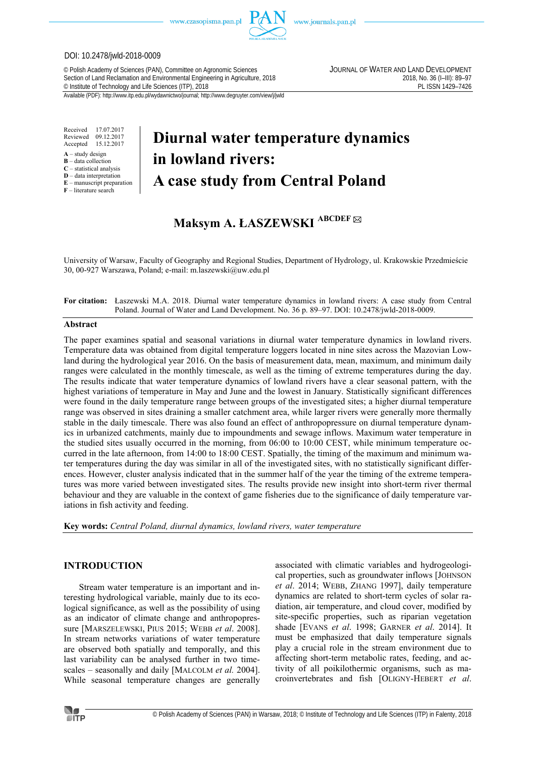

www.journals.pan.pl

# DOI: 10.2478/jwld-2018-0009

© Polish Academy of Sciences (PAN), Committee on Agronomic Sciences JOURNAL OF WATER AND LAND DEVELOPMENT Section of Land Reclamation and Environmental Engineering in Agriculture, 2018<br>
© Institute of Technology and Life Sciences (ITP), 2018<br>
PL ISSN 1429-7426 <sup>©</sup> Institute of Technology and Life Sciences (ITP), 2018

Available (PDF): http://www.itp.edu.pl/wydawnictwo/journal; http://www.degruyter.com/view/j/jwld

Received 17.07.2017 Reviewed 09.12.2017<br>Accepted 15.12.2017 Accepted 15.12.2017

- **A** study design
- **B** data collection **C** – statistical analysis
- **D** data interpretation
- **E** manuscript preparation
- **F** literature search

# **Diurnal water temperature dynamics in lowland rivers: A case study from Central Poland**

# **Maksym A. ŁASZEWSKI ABCDEF**

University of Warsaw, Faculty of Geography and Regional Studies, Department of Hydrology, ul. Krakowskie Przedmieście 30, 00-927 Warszawa, Poland; e-mail: m.laszewski@uw.edu.pl

# **For citation:** Łaszewski M.A. 2018. Diurnal water temperature dynamics in lowland rivers: A case study from Central Poland. Journal of Water and Land Development. No. 36 p. 89–97. DOI: 10.2478/jwld-2018-0009.

### **Abstract**

The paper examines spatial and seasonal variations in diurnal water temperature dynamics in lowland rivers. Temperature data was obtained from digital temperature loggers located in nine sites across the Mazovian Lowland during the hydrological year 2016. On the basis of measurement data, mean, maximum, and minimum daily ranges were calculated in the monthly timescale, as well as the timing of extreme temperatures during the day. The results indicate that water temperature dynamics of lowland rivers have a clear seasonal pattern, with the highest variations of temperature in May and June and the lowest in January. Statistically significant differences were found in the daily temperature range between groups of the investigated sites; a higher diurnal temperature range was observed in sites draining a smaller catchment area, while larger rivers were generally more thermally stable in the daily timescale. There was also found an effect of anthropopressure on diurnal temperature dynamics in urbanized catchments, mainly due to impoundments and sewage inflows. Maximum water temperature in the studied sites usually occurred in the morning, from 06:00 to 10:00 CEST, while minimum temperature occurred in the late afternoon, from 14:00 to 18:00 CEST. Spatially, the timing of the maximum and minimum water temperatures during the day was similar in all of the investigated sites, with no statistically significant differences. However, cluster analysis indicated that in the summer half of the year the timing of the extreme temperatures was more varied between investigated sites. The results provide new insight into short-term river thermal behaviour and they are valuable in the context of game fisheries due to the significance of daily temperature variations in fish activity and feeding.

**Key words:** *Central Poland, diurnal dynamics, lowland rivers, water temperature* 

# **INTRODUCTION**

Stream water temperature is an important and interesting hydrological variable, mainly due to its ecological significance, as well as the possibility of using as an indicator of climate change and anthropopressure [MARSZELEWSKI, PIUS 2015; WEBB *et al*. 2008]. In stream networks variations of water temperature are observed both spatially and temporally, and this last variability can be analysed further in two timescales – seasonally and daily [MALCOLM *et al.* 2004]. While seasonal temperature changes are generally associated with climatic variables and hydrogeological properties, such as groundwater inflows [JOHNSON *et al*. 2014; WEBB, ZHANG 1997], daily temperature dynamics are related to short-term cycles of solar radiation, air temperature, and cloud cover, modified by site-specific properties, such as riparian vegetation shade [EVANS *et al*. 1998; GARNER *et al*. 2014]. It must be emphasized that daily temperature signals play a crucial role in the stream environment due to affecting short-term metabolic rates, feeding, and activity of all poikilothermic organisms, such as macroinvertebrates and fish [OLIGNY-HEBERT *et al*.

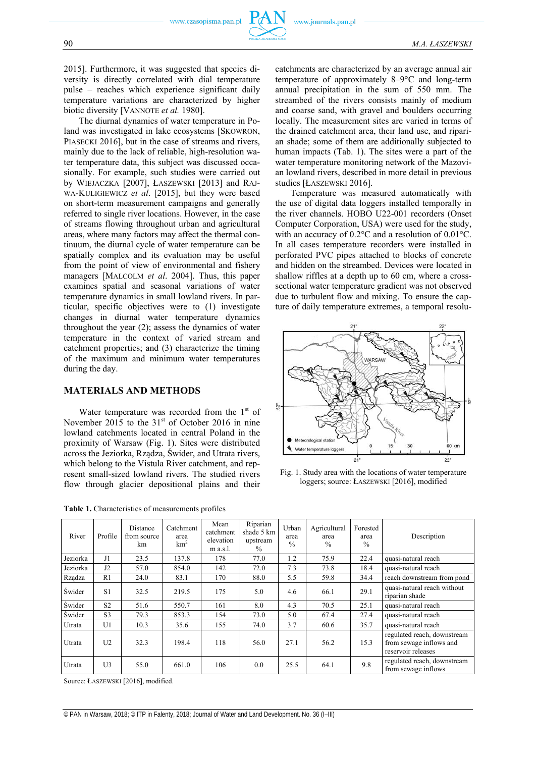2015]. Furthermore, it was suggested that species diversity is directly correlated with dial temperature pulse – reaches which experience significant daily temperature variations are characterized by higher biotic diversity [VANNOTE *et al.* 1980].

The diurnal dynamics of water temperature in Poland was investigated in lake ecosystems PIASECKI 2016], but in the case of streams mainly due to the lack of reliable, high-res ter temperature data, this subject was discu sionally. For example, such studies were by WIEJACZKA [2007], ŁASZEWSKI [2013 WA-KULIGIEWICZ et al. [2015], but they on short-term measurement campaigns and generally referred to single river locations. However, in the case of streams flowing throughout urban and agricultural areas, where many factors may affect the thermal continuum, the diurnal cycle of water temperature can be spatially complex and its evaluation may be useful from the point of view of environmental and fishery managers [MALCOLM *et al*. 2004]. Thus, this paper examines spatial and seasonal variations of water temperature dynamics in small lowland rivers. In particular, specific objectives were to (1) investigate changes in diurnal water temperature dynamics throughout the year (2); assess the dynamics of water temperature in the context of varied stream and catchment properties; and (3) characterize the timing of the maximum and minimum water temperatures during the day.

# **MATERIALS AND METHODS**

Water temperature was recorded from the 1<sup>st</sup> of November 2015 to the  $31<sup>st</sup>$  of October 2016 in nine lowland catchments located in central Poland in the proximity of Warsaw (Fig. 1). Sites were distributed across the Jeziorka, Rządza, Świder, and Utrata rivers, which belong to the Vistula River catchment, and represent small-sized lowland rivers. The studied rivers flow through glacier depositional plains and their

**Table 1.** Characteristics of measurements profiles

| ature in Po- | locally. The measurement sites are varied in terms of   |
|--------------|---------------------------------------------------------|
| [SKOWRON,    | the drained catchment area, their land use, and ripari- |
| and rivers,  | an shade; some of them are additionally subjected to    |
| olution wa-  | human impacts (Tab. 1). The sites were a part of the    |
| ussed occa-  | water temperature monitoring network of the Mazovi-     |
| carried out  | an lowland rivers, described in more detail in previous |
| 3] and RAJ-  | studies [ŁASZEWSKI 2016].                               |
| were based   | Temperature was measured automatically with             |
|              |                                                         |

Ily with the use of digital data loggers installed temporally in the river channels. HOBO U22-001 recorders (Onset Computer Corporation, USA) were used for the study, with an accuracy of 0.2°C and a resolution of 0.01°C. In all cases temperature recorders were installed in perforated PVC pipes attached to blocks of concrete and hidden on the streambed. Devices were located in shallow riffles at a depth up to 60 cm, where a crosssectional water temperature gradient was not observed due to turbulent flow and mixing. To ensure the capture of daily temperature extremes, a temporal resolu-

catchments are characterized by an average annual air temperature of approximately 8–9°C and long-term annual precipitation in the sum of 550 mm. The streambed of the rivers consists mainly of medium and coarse sand, with gravel and boulders occurring



Fig. 1. Study area with the locations of water temperature loggers; source: ŁASZEWSKI [2016], modified

| River         | Profile        | Distance<br>from source<br>km | Catchment<br>area<br>km <sup>2</sup> | Mean<br>catchment<br>elevation<br>m a.s.l. | Riparian<br>shade 5 km<br>upstream<br>$\%$ | Urban<br>area<br>$\%$ | Agricultural<br>area<br>$\frac{0}{0}$ | Forested<br>area<br>$\frac{0}{0}$ | Description                                                                  |
|---------------|----------------|-------------------------------|--------------------------------------|--------------------------------------------|--------------------------------------------|-----------------------|---------------------------------------|-----------------------------------|------------------------------------------------------------------------------|
| Jeziorka      | J1             | 23.5                          | 137.8                                | 178                                        | 77.0                                       | 1.2                   | 75.9                                  | 22.4                              | quasi-natural reach                                                          |
| Jeziorka      | J2             | 57.0                          | 854.0                                | 142                                        | 72.0                                       | 7.3                   | 73.8                                  | 18.4                              | quasi-natural reach                                                          |
| Rządza        | R1             | 24.0                          | 83.1                                 | 170                                        | 88.0                                       | 5.5                   | 59.8                                  | 34.4                              | reach downstream from pond                                                   |
| <b>Swider</b> | S1             | 32.5                          | 219.5                                | 175                                        | 5.0                                        | 4.6                   | 66.1                                  | 29.1                              | quasi-natural reach without<br>riparian shade                                |
| <b>Swider</b> | S <sub>2</sub> | 51.6                          | 550.7                                | 161                                        | 8.0                                        | 4.3                   | 70.5                                  | 25.1                              | quasi-natural reach                                                          |
| <b>Swider</b> | S <sub>3</sub> | 79.3                          | 853.3                                | 154                                        | 73.0                                       | 5.0                   | 67.4                                  | 27.4                              | quasi-natural reach                                                          |
| Utrata        | U1             | 10.3                          | 35.6                                 | 155                                        | 74.0                                       | 3.7                   | 60.6                                  | 35.7                              | quasi-natural reach                                                          |
| Utrata        | U <sub>2</sub> | 32.3                          | 198.4                                | 118                                        | 56.0                                       | 27.1                  | 56.2                                  | 15.3                              | regulated reach, downstream<br>from sewage inflows and<br>reservoir releases |
| Utrata        | U3             | 55.0                          | 661.0                                | 106                                        | 0.0                                        | 25.5                  | 64.1                                  | 9.8                               | regulated reach, downstream<br>from sewage inflows                           |

Source: ŁASZEWSKI [2016], modified.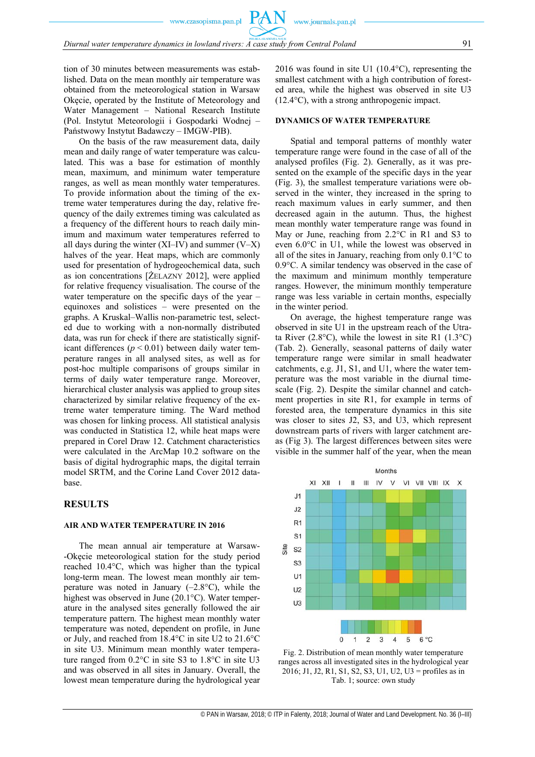tion of 30 minutes between measurements was established. Data on the mean monthly air temperature was obtained from the meteorological station in Warsaw Okęcie, operated by the Institute of Meteorology and Water Management – National Research Institute (Pol. Instytut Meteorologii i Gospodarki Wodnej – Państwowy Instytut Badawczy – IMGW-PIB).

On the basis of the raw measurement data, daily mean and daily range of water temperature was calculated. This was a base for estimation of monthly mean, maximum, and minimum water temperature ranges, as well as mean monthly water temperatures. To provide information about the timing of the extreme water temperatures during the day, relative frequency of the daily extremes timing was calculated as a frequency of the different hours to reach daily minimum and maximum water temperatures referred to all days during the winter  $(XI-V)$  and summer  $(V-X)$ halves of the year. Heat maps, which are commonly used for presentation of hydrogeochemical data, such as ion concentrations [ŻELAZNY 2012], were applied for relative frequency visualisation. The course of the water temperature on the specific days of the year – equinoxes and solistices – were presented on the graphs. A Kruskal–Wallis non-parametric test, selected due to working with a non-normally distributed data, was run for check if there are statistically significant differences  $(p < 0.01)$  between daily water temperature ranges in all analysed sites, as well as for post-hoc multiple comparisons of groups similar in terms of daily water temperature range. Moreover, hierarchical cluster analysis was applied to group sites characterized by similar relative frequency of the extreme water temperature timing. The Ward method was chosen for linking process. All statistical analysis was conducted in Statistica 12, while heat maps were prepared in Corel Draw 12. Catchment characteristics were calculated in the ArcMap 10.2 software on the basis of digital hydrographic maps, the digital terrain model SRTM, and the Corine Land Cover 2012 database.

# **RESULTS**

# **AIR AND WATER TEMPERATURE IN 2016**

The mean annual air temperature at Warsaw- -Okęcie meteorological station for the study period reached 10.4°C, which was higher than the typical long-term mean. The lowest mean monthly air temperature was noted in January  $(-2.8\degree C)$ , while the highest was observed in June (20.1°C). Water temperature in the analysed sites generally followed the air temperature pattern. The highest mean monthly water temperature was noted, dependent on profile, in June or July, and reached from 18.4°C in site U2 to 21.6°C in site U3. Minimum mean monthly water temperature ranged from 0.2°C in site S3 to 1.8°C in site U3 and was observed in all sites in January. Overall, the lowest mean temperature during the hydrological year 2016 was found in site U1 (10.4°C), representing the smallest catchment with a high contribution of forested area, while the highest was observed in site U3 (12.4°C), with a strong anthropogenic impact.

#### **DYNAMICS OF WATER TEMPERATURE**

www.journals.pan.pl

Spatial and temporal patterns of monthly water temperature range were found in the case of all of the analysed profiles (Fig. 2). Generally, as it was presented on the example of the specific days in the year (Fig. 3), the smallest temperature variations were observed in the winter, they increased in the spring to reach maximum values in early summer, and then decreased again in the autumn. Thus, the highest mean monthly water temperature range was found in May or June, reaching from 2.2°C in R1 and S3 to even 6.0°C in U1, while the lowest was observed in all of the sites in January, reaching from only 0.1°C to 0.9°C. A similar tendency was observed in the case of the maximum and minimum monthly temperature ranges. However, the minimum monthly temperature range was less variable in certain months, especially in the winter period.

On average, the highest temperature range was observed in site U1 in the upstream reach of the Utrata River (2.8°C), while the lowest in site R1 (1.3°C) (Tab. 2). Generally, seasonal patterns of daily water temperature range were similar in small headwater catchments, e.g. J1, S1, and U1, where the water temperature was the most variable in the diurnal timescale (Fig. 2). Despite the similar channel and catchment properties in site R1, for example in terms of forested area, the temperature dynamics in this site was closer to sites J2, S3, and U3, which represent downstream parts of rivers with larger catchment areas (Fig 3). The largest differences between sites were visible in the summer half of the year, when the mean



Fig. 2. Distribution of mean monthly water temperature ranges across all investigated sites in the hydrological year 2016; J1, J2, R1, S1, S2, S3, U1, U2, U3 = profiles as in Tab. 1; source: own study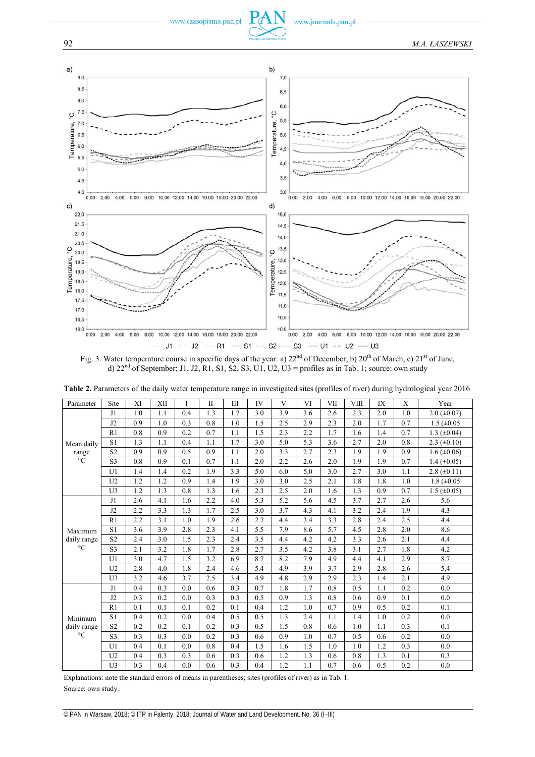

Fig. 3. Water temperature course in specific days of the year: a) 22<sup>nd</sup> of December, b) 20<sup>th</sup> of March, c) 21<sup>st</sup> of June, d)  $22<sup>nd</sup>$  of September; J1, J2, R1, S1, S2, S3, U1, U2, U3 = profiles as in Tab. 1; source: own study

| ပ္င                                                                                                     |                                                                                                                                                                  |                                                                                                       |            |          |                                           |          |           | ပ္                                            |                  |              |           |           |                  |                                                                                                                                       |  |  |
|---------------------------------------------------------------------------------------------------------|------------------------------------------------------------------------------------------------------------------------------------------------------------------|-------------------------------------------------------------------------------------------------------|------------|----------|-------------------------------------------|----------|-----------|-----------------------------------------------|------------------|--------------|-----------|-----------|------------------|---------------------------------------------------------------------------------------------------------------------------------------|--|--|
| 7,0                                                                                                     |                                                                                                                                                                  |                                                                                                       |            |          |                                           |          |           | 5,5                                           |                  |              |           |           |                  |                                                                                                                                       |  |  |
| Temperature,<br>6,5                                                                                     |                                                                                                                                                                  |                                                                                                       |            |          |                                           |          |           | Temperature,<br>5,0                           |                  |              |           |           |                  |                                                                                                                                       |  |  |
| 6,0                                                                                                     |                                                                                                                                                                  |                                                                                                       |            |          |                                           |          |           |                                               |                  |              |           |           |                  |                                                                                                                                       |  |  |
| 5,5                                                                                                     |                                                                                                                                                                  |                                                                                                       |            |          |                                           |          |           | 4,5                                           |                  |              |           |           |                  |                                                                                                                                       |  |  |
|                                                                                                         |                                                                                                                                                                  |                                                                                                       |            |          |                                           |          |           | 4,0                                           |                  |              |           |           |                  |                                                                                                                                       |  |  |
| 5,0                                                                                                     |                                                                                                                                                                  |                                                                                                       |            |          |                                           |          |           |                                               |                  |              |           |           |                  |                                                                                                                                       |  |  |
| 4,5                                                                                                     |                                                                                                                                                                  |                                                                                                       |            |          |                                           |          |           | 3,5                                           |                  |              |           |           |                  |                                                                                                                                       |  |  |
| 4,0<br>0:00                                                                                             | 2:00<br>4:00                                                                                                                                                     | 6:00<br>8:00                                                                                          |            |          | 10:00 12:00 14:00 16:00 18:00 20:00 22:00 |          |           | 3,0<br>0:00                                   | 2:00             | 6:00<br>4:00 | 8:00      |           |                  | 10:00 12:00 14:00 16:00 18:00 20:00 22:00                                                                                             |  |  |
| C)                                                                                                      |                                                                                                                                                                  |                                                                                                       |            |          |                                           |          |           | d)                                            |                  |              |           |           |                  |                                                                                                                                       |  |  |
| 22,0                                                                                                    |                                                                                                                                                                  |                                                                                                       |            |          |                                           |          |           | 15,0                                          |                  |              |           |           |                  |                                                                                                                                       |  |  |
| 21,5                                                                                                    |                                                                                                                                                                  |                                                                                                       |            |          |                                           |          |           |                                               |                  |              |           |           |                  |                                                                                                                                       |  |  |
| 21,0                                                                                                    |                                                                                                                                                                  |                                                                                                       |            |          |                                           |          |           | 14,5<br>14,0                                  |                  |              |           |           |                  |                                                                                                                                       |  |  |
| 20,5                                                                                                    |                                                                                                                                                                  |                                                                                                       |            |          |                                           |          |           |                                               |                  |              |           |           |                  |                                                                                                                                       |  |  |
| ့<br>20,0                                                                                               |                                                                                                                                                                  |                                                                                                       |            |          |                                           |          |           | 13,5<br>ပ္ခ                                   |                  |              |           |           |                  |                                                                                                                                       |  |  |
| 19,5                                                                                                    |                                                                                                                                                                  |                                                                                                       |            |          |                                           |          |           | 13,0                                          | 12,5             |              |           |           |                  |                                                                                                                                       |  |  |
| Temperature,<br>19,0                                                                                    |                                                                                                                                                                  |                                                                                                       |            |          |                                           |          |           | Temperature,                                  |                  |              |           |           |                  |                                                                                                                                       |  |  |
| 18,5                                                                                                    |                                                                                                                                                                  |                                                                                                       |            |          |                                           |          |           | 12,0                                          |                  |              |           |           |                  |                                                                                                                                       |  |  |
| 18,0                                                                                                    |                                                                                                                                                                  |                                                                                                       |            |          |                                           |          |           | 11,5                                          |                  |              |           |           |                  |                                                                                                                                       |  |  |
| 17,5                                                                                                    |                                                                                                                                                                  |                                                                                                       |            |          |                                           |          |           |                                               | 11,0             |              |           |           |                  |                                                                                                                                       |  |  |
| 17,0                                                                                                    |                                                                                                                                                                  |                                                                                                       |            |          |                                           |          |           |                                               |                  |              |           |           |                  |                                                                                                                                       |  |  |
| 16,5                                                                                                    |                                                                                                                                                                  |                                                                                                       |            |          |                                           |          |           |                                               |                  |              |           |           |                  |                                                                                                                                       |  |  |
| 16,0<br>0:00                                                                                            | 10,0<br>8:00 10:00 12:00 14:00 16:00 18:00 20:00 22:00<br>0:00<br>2:00<br>8:00 10:00 12:00 14:00 16:00 18:00 20:00 22:00<br>2:00<br>4:00<br>6:00<br>4:00<br>6:00 |                                                                                                       |            |          |                                           |          |           |                                               |                  |              |           |           |                  |                                                                                                                                       |  |  |
|                                                                                                         |                                                                                                                                                                  |                                                                                                       |            |          |                                           |          |           |                                               |                  |              |           |           |                  |                                                                                                                                       |  |  |
|                                                                                                         |                                                                                                                                                                  |                                                                                                       |            |          |                                           |          |           | $-11 - 32 - R1 - S1 - S2 - S3 - U1 - U2 - U3$ |                  |              |           |           |                  |                                                                                                                                       |  |  |
|                                                                                                         |                                                                                                                                                                  |                                                                                                       |            |          |                                           |          |           |                                               |                  |              |           |           |                  | Fig. 3. Water temperature course in specific days of the year: a) $22^{nd}$ of December, b) $20^{th}$ of March, c) $21^{st}$ of June, |  |  |
|                                                                                                         |                                                                                                                                                                  | d) $22nd$ of September; J1, J2, R1, S1, S2, S3, U1, U2, U3 = profiles as in Tab. 1; source: own study |            |          |                                           |          |           |                                               |                  |              |           |           |                  |                                                                                                                                       |  |  |
|                                                                                                         |                                                                                                                                                                  |                                                                                                       |            |          |                                           |          |           |                                               |                  |              |           |           |                  |                                                                                                                                       |  |  |
|                                                                                                         |                                                                                                                                                                  |                                                                                                       |            |          |                                           |          |           |                                               |                  |              |           |           |                  | Table 2. Parameters of the daily water temperature range in investigated sites (profiles of river) during hydrological year 2016      |  |  |
|                                                                                                         |                                                                                                                                                                  |                                                                                                       |            |          |                                           |          |           |                                               |                  |              |           |           |                  |                                                                                                                                       |  |  |
| Parameter                                                                                               | Site<br>J1                                                                                                                                                       | XI<br>1.0                                                                                             | XII<br>1.1 | 1<br>0.4 | П<br>1.3                                  | Ш<br>1.7 | IV<br>3.0 | V<br>3.9                                      | VI<br>3.6        | VII<br>2.6   | VШ<br>2.3 | IX<br>2.0 | Х<br>1.0         | Year<br>$2.0$ ( $\pm 0.07$ )                                                                                                          |  |  |
|                                                                                                         | J <sub>2</sub>                                                                                                                                                   | 0.9                                                                                                   | 1.0        | 0.3      | 0.8                                       | 1.0      | 1.5       | 2.5                                           | 2.9              | 2.3          | 2.0       | 1.7       | 0.7              | $1.5 \ (\pm 0.05)$                                                                                                                    |  |  |
|                                                                                                         | R1                                                                                                                                                               | 0.8                                                                                                   | 0.9        | 0.2      | 0.7                                       | 1.1      | 1.5       | 2.3                                           | 2.2              | 1.7          | 1.6       | 1.4       | 0.7              | 1.3 $(\pm 0.04)$                                                                                                                      |  |  |
| Mean daily                                                                                              | S1                                                                                                                                                               | 1.3                                                                                                   | 1.1        | 0.4      | 1.1                                       | 1.7      | 3.0       | 5.0                                           | 5.3              | 3.6          | 2.7       | 2.0       | 0.8              | 2.3 $(\pm 0.10)$                                                                                                                      |  |  |
| range                                                                                                   | S <sub>2</sub>                                                                                                                                                   | 0.9                                                                                                   | 0.9        | 0.5      | 0.9                                       | 1.1      | 2.0       | 3.3                                           | 2.7              | 2.3          | 1.9       | 1.9       | 0.9              | $1.6 \ (\pm 0.06)$                                                                                                                    |  |  |
| $\rm ^{\circ}C$                                                                                         | S <sub>3</sub>                                                                                                                                                   | 0.8                                                                                                   | 0.9        | 0.1      | 0.7                                       | 1.1      | 2.0       | 2.2                                           | 2.6              | 2.0          | 1.9       | 1.9       | 0.7              | 1.4 $(\pm 0.05)$                                                                                                                      |  |  |
|                                                                                                         | U <sub>1</sub>                                                                                                                                                   | 1.4                                                                                                   | 1.4        | 0.2      | 1.9                                       | 3.3      | 5.0       | 6.0                                           | 5.0              | 3.0          | 2.7       | 3.0       | 1.1              | $2.8 (\pm 0.11)$                                                                                                                      |  |  |
|                                                                                                         | U <sub>2</sub>                                                                                                                                                   | 1.2                                                                                                   | 1.2        | 0.9      | 1.4                                       | 1.9      | 3.0       | 3.0                                           | 2.5              | 2.1          | 1.8       | 1.8       | 1.0              | 1.8 ( $\pm 0.05$ )                                                                                                                    |  |  |
|                                                                                                         | U <sub>3</sub>                                                                                                                                                   | 1.2                                                                                                   | 1.3        | 0.8      | 1.3                                       | 1.6      | 2.3       | 2.5                                           | 2.0              | 1.6          | 1.3       | 0.9       | 0.7              | $1.5 \ (\pm 0.05)$                                                                                                                    |  |  |
|                                                                                                         | J1                                                                                                                                                               | 2.6                                                                                                   | 4.1        | 1.6      | 2.2                                       | 4.0      | 5.3       | 5.2                                           | 5.6              | 4.5          | 3.7       | 2.7       | 2.6              | 5.6                                                                                                                                   |  |  |
|                                                                                                         | J2                                                                                                                                                               | 2.2                                                                                                   | 3.3        | 1.3      | 1.7                                       | 2.5      | 3.0       | 3.7                                           | 4.3              | 4.1          | 3.2       | 2.4       | 1.9              | 4.3                                                                                                                                   |  |  |
|                                                                                                         | R1                                                                                                                                                               | 2.2                                                                                                   | 3.1        | 1.0      | 1.9                                       | 2.6      | 2.7       | 4.4                                           | 3.4              | 3.3          | 2.8       | 2.4       | 2.5              | 4.4                                                                                                                                   |  |  |
| Maximum                                                                                                 | S1                                                                                                                                                               | $\overline{3.6}$                                                                                      | 3.9        | 2.8      | 2.3                                       | 4.1      | 5.5       | 7.9                                           | 8.6              | 5.7          | 4.5       | 2.8       | $\overline{2.0}$ | 8.6                                                                                                                                   |  |  |
| daily range                                                                                             | S <sub>2</sub>                                                                                                                                                   | 2.4                                                                                                   | 3.0        | 1.5      | 2.3                                       | 2.4      | 3.5       | 4.4                                           | 4.2              | 4.2          | 3.3       | 2.6       | 2.1              | 4.4                                                                                                                                   |  |  |
| $\rm ^{\circ}C$                                                                                         | S3                                                                                                                                                               | 2.1                                                                                                   | 3.2        | 1.8      | 1.7                                       | 2.8      | 2.7       | 3.5                                           | 4.2              | 3.8          | 3.1       | 2.7       | 1.8              | 4.2                                                                                                                                   |  |  |
|                                                                                                         | U1                                                                                                                                                               | 3.0                                                                                                   | 4.7        | 1.5      | 3.2                                       | 6.9      | 8.7       | 8.2                                           | 7.9              | 4.9          | 4.4       | 4.1       | 2.9              | 8.7                                                                                                                                   |  |  |
|                                                                                                         | U2                                                                                                                                                               | 2.8                                                                                                   | 4.0        | 1.8      | 2.4                                       | 4.6      | 5.4       | 4.9                                           | $\overline{3.9}$ | 3.7          | 2.9       | 2.8       | 2.6              | 5.4                                                                                                                                   |  |  |
|                                                                                                         | U <sub>3</sub>                                                                                                                                                   | 3.2                                                                                                   | 4.6        | 3.7      | 2.5                                       | 3.4      | 4.9       | 4.8                                           | 2.9              | 2.9          | 2.3       | 1.4       | 2.1              | 4.9                                                                                                                                   |  |  |
|                                                                                                         | J1                                                                                                                                                               | 0.4                                                                                                   | 0.3        | 0.0      | 0.6                                       | 0.3      | 0.7       | 1.8                                           | 1.7              | 0.8          | 0.5       | 1.1       | 0.2              | 0.0                                                                                                                                   |  |  |
|                                                                                                         | J2                                                                                                                                                               | 0.3                                                                                                   | 0.2        | 0.0      | 0.3                                       | 0.3      | 0.5       | 0.9                                           | 1.3              | 0.8          | 0.6       | 0.9       | 0.1              | 0.0                                                                                                                                   |  |  |
|                                                                                                         | R1                                                                                                                                                               | 0.1                                                                                                   | 0.1        | 0.1      | 0.2                                       | 0.1      | 0.4       | 1.2                                           | 1.0              | 0.7          | 0.9       | 0.5       | 0.2              | 0.1                                                                                                                                   |  |  |
|                                                                                                         | S1                                                                                                                                                               | 0.4                                                                                                   | 0.2        | $0.0\,$  | 0.4                                       | 0.5      | 0.5       | 1.3                                           | 2.4              | 1.1          | 1.4       | 1.0       | 0.2              | 0.0                                                                                                                                   |  |  |
| Minimum<br>daily range<br>$\rm ^{\circ}C$                                                               | S <sub>2</sub>                                                                                                                                                   | 0.2                                                                                                   | 0.2        | 0.1      | 0.2                                       | 0.3      | 0.5       | 1.5                                           | $0.8\,$          | 0.6          | $1.0\,$   | 1.1       | 0.3              | 0.1                                                                                                                                   |  |  |
|                                                                                                         | S3                                                                                                                                                               | 0.3                                                                                                   | 0.3        | 0.0      | 0.2                                       | 0.3      | 0.6       | 0.9                                           | 1.0              | 0.7          | 0.5       | 0.6       | $0.2\,$          | 0.0                                                                                                                                   |  |  |
|                                                                                                         | U1                                                                                                                                                               | 0.4                                                                                                   | 0.1        | 0.0      | 0.8                                       | 0.4      | 1.5       | 1.6                                           | 1.5              | 1.0          | 1.0       | 1.2       | 0.3              | 0.0                                                                                                                                   |  |  |
|                                                                                                         | U <sub>2</sub>                                                                                                                                                   | 0.4                                                                                                   | 0.3        | 0.3      | 0.6                                       | 0.3      | 0.6       | 1.2                                           | 1.3              | 0.6          | 0.8       | 1.3       | 0.1              | 0.3                                                                                                                                   |  |  |
|                                                                                                         | U <sub>3</sub>                                                                                                                                                   | 0.3                                                                                                   | 0.4        | 0.0      | 0.6                                       | 0.3      | 0.4       | 1.2                                           | 1.1              | 0.7          | 0.6       | 0.5       | $0.2\,$          | 0.0                                                                                                                                   |  |  |
|                                                                                                         |                                                                                                                                                                  |                                                                                                       |            |          |                                           |          |           |                                               |                  |              |           |           |                  |                                                                                                                                       |  |  |
| Explanations: note the standard errors of means in parentheses; sites (profiles of river) as in Tab. 1. |                                                                                                                                                                  |                                                                                                       |            |          |                                           |          |           |                                               |                  |              |           |           |                  |                                                                                                                                       |  |  |
| Source: own study.                                                                                      |                                                                                                                                                                  |                                                                                                       |            |          |                                           |          |           |                                               |                  |              |           |           |                  |                                                                                                                                       |  |  |

**Table 2.** Parameters of the daily water temperature range in investigated sites (profiles of river) during hydrological year 2016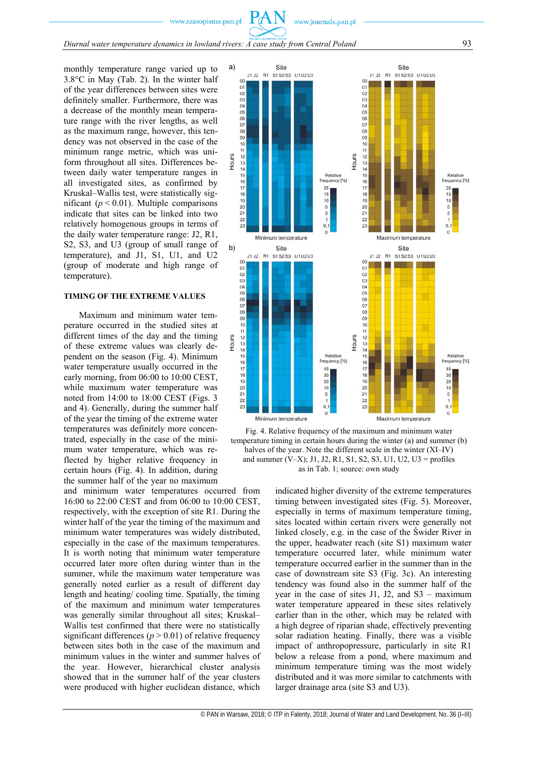www.journals.pan.pl

Site  $\alpha$  $02$  $03$  $04$  $05$  $\begin{array}{c} 06 \\ 07 \end{array}$ 08

 $PA$ 

monthly temperature range varied up to 3.8°C in May (Tab. 2). In the winter half of the year differences between sites were definitely smaller. Furthermore, there was a decrease of the monthly mean temperature range with the river lengths, as well as the maximum range, however, this tendency was not observed in the case of the minimum range metric, which was uniform throughout all sites. Differences between daily water temperature ranges in all investigated sites, as confirmed by Kruskal–Wallis test, were statistically significant ( $p < 0.01$ ). Multiple comparisons indicate that sites can be linked into two relatively homogenous groups in terms of the daily water temperature range: J2, R1, S2, S3, and U3 (group of small range of temperature), and J1, S1, U1, and U2 (group of moderate and high range of temperature).

#### **TIMING OF THE EXTREME VALUES**

Maximum and minimum water temperature occurred in the studied sites at different times of the day and the timing of these extreme values was clearly dependent on the season (Fig. 4). Minimum water temperature usually occurred in the early morning, from 06:00 to 10:00 CEST, while maximum water temperature was noted from 14:00 to 18:00 CEST (Figs. 3 and 4). Generally, during the summer half of the year the timing of the extreme water temperatures was definitely more concentrated, especially in the case of the minimum water temperature, which was reflected by higher relative frequency in certain hours (Fig. 4). In addition, during the summer half of the year no maximum

and minimum water temperatures occurred from 16:00 to 22:00 CEST and from 06:00 to 10:00 CEST, respectively, with the exception of site R1. During the winter half of the year the timing of the maximum and minimum water temperatures was widely distributed, especially in the case of the maximum temperatures. It is worth noting that minimum water temperature occurred later more often during winter than in the summer, while the maximum water temperature was generally noted earlier as a result of different day length and heating/ cooling time. Spatially, the timing of the maximum and minimum water temperatures was generally similar throughout all sites; Kruskal– Wallis test confirmed that there were no statistically significant differences ( $p > 0.01$ ) of relative frequency between sites both in the case of the maximum and minimum values in the winter and summer halves of the year. However, hierarchical cluster analysis showed that in the summer half of the year clusters were produced with higher euclidean distance, which





indicated higher diversity of the extreme temperatures timing between investigated sites (Fig. 5). Moreover, especially in terms of maximum temperature timing, sites located within certain rivers were generally not linked closely, e.g. in the case of the Świder River in the upper, headwater reach (site S1) maximum water temperature occurred later, while minimum water temperature occurred earlier in the summer than in the case of downstream site S3 (Fig. 3c). An interesting tendency was found also in the summer half of the year in the case of sites J1, J2, and  $S3 -$  maximum water temperature appeared in these sites relatively earlier than in the other, which may be related with a high degree of riparian shade, effectively preventing solar radiation heating. Finally, there was a visible impact of anthropopressure, particularly in site R1 below a release from a pond, where maximum and minimum temperature timing was the most widely distributed and it was more similar to catchments with larger drainage area (site S3 and U3).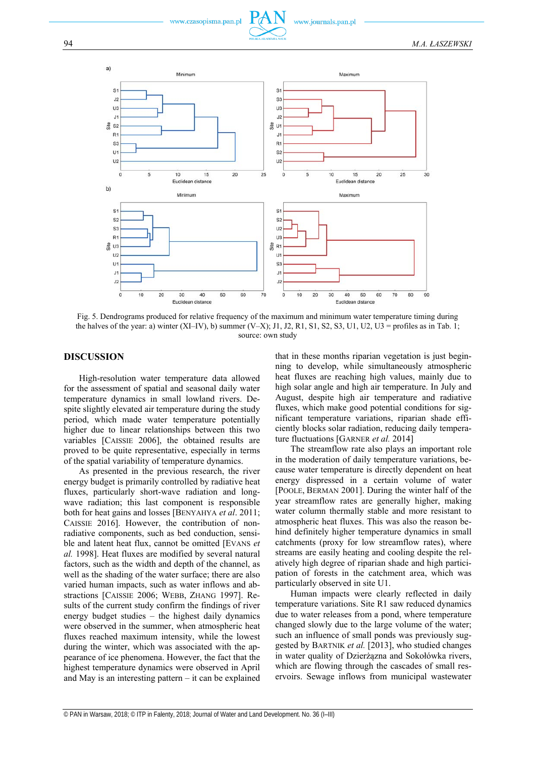





Fig. 5. Dendrograms produced for relative frequency of the maximum and minimum water temperature timing during the halves of the year: a) winter (XI–IV), b) summer (V–X); J1, J2, R1, S1, S2, S3, U1, U2, U3 = profiles as in Tab. 1; source: own study

# **DISCUSSION**

High-resolution water temperature data allowed for the assessment of spatial and seasonal daily water temperature dynamics in small lowland rivers. Despite slightly elevated air temperature during the study period, which made water temperature potentially higher due to linear relationships between this two variables [CAISSIE 2006], the obtained results are proved to be quite representative, especially in terms of the spatial variability of temperature dynamics.

As presented in the previous research, the river energy budget is primarily controlled by radiative heat fluxes, particularly short-wave radiation and longwave radiation; this last component is responsible both for heat gains and losses [BENYAHYA *et al*. 2011; CAISSIE 2016]. However, the contribution of nonradiative components, such as bed conduction, sensible and latent heat flux, cannot be omitted [EVANS *et al.* 1998]. Heat fluxes are modified by several natural factors, such as the width and depth of the channel, as well as the shading of the water surface; there are also varied human impacts, such as water inflows and abstractions [CAISSIE 2006; WEBB, ZHANG 1997]. Results of the current study confirm the findings of river energy budget studies – the highest daily dynamics were observed in the summer, when atmospheric heat fluxes reached maximum intensity, while the lowest during the winter, which was associated with the appearance of ice phenomena. However, the fact that the highest temperature dynamics were observed in April and May is an interesting pattern – it can be explained that in these months riparian vegetation is just beginning to develop, while simultaneously atmospheric heat fluxes are reaching high values, mainly due to high solar angle and high air temperature. In July and August, despite high air temperature and radiative fluxes, which make good potential conditions for significant temperature variations, riparian shade efficiently blocks solar radiation, reducing daily temperature fluctuations [GARNER *et al.* 2014]

The streamflow rate also plays an important role in the moderation of daily temperature variations, because water temperature is directly dependent on heat energy dispressed in a certain volume of water [POOLE, BERMAN 2001]. During the winter half of the year streamflow rates are generally higher, making water column thermally stable and more resistant to atmospheric heat fluxes. This was also the reason behind definitely higher temperature dynamics in small catchments (proxy for low streamflow rates), where streams are easily heating and cooling despite the relatively high degree of riparian shade and high participation of forests in the catchment area, which was particularly observed in site U1.

Human impacts were clearly reflected in daily temperature variations. Site R1 saw reduced dynamics due to water releases from a pond, where temperature changed slowly due to the large volume of the water; such an influence of small ponds was previously suggested by BARTNIK *et al.* [2013], who studied changes in water quality of Dzierżązna and Sokołówka rivers, which are flowing through the cascades of small reservoirs. Sewage inflows from municipal wastewater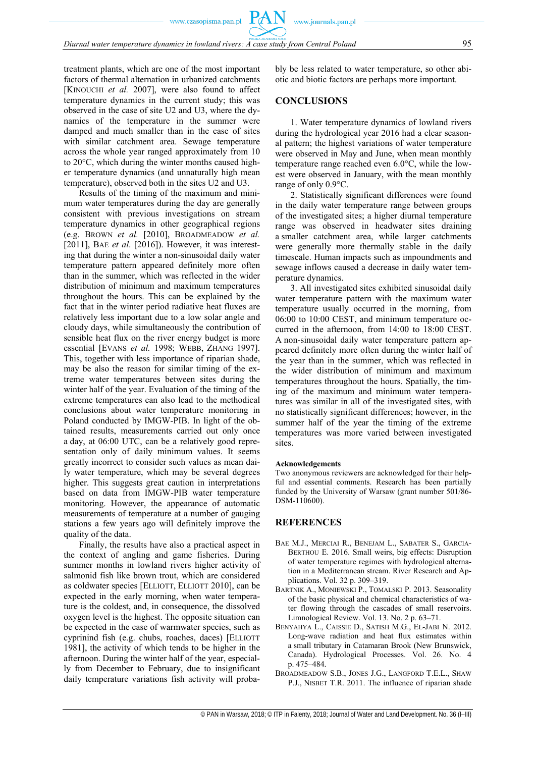treatment plants, which are one of the most important factors of thermal alternation in urbanized catchments [KINOUCHI *et al.* 2007], were also found to affect temperature dynamics in the current study; this was observed in the case of site U2 and U3, where the dynamics of the temperature in the summer were damped and much smaller than in the case of sites with similar catchment area. Sewage temperature across the whole year ranged approximately from 10 to 20°C, which during the winter months caused higher temperature dynamics (and unnaturally high mean

temperature), observed both in the sites U2 and U3. Results of the timing of the maximum and minimum water temperatures during the day are generally consistent with previous investigations on stream temperature dynamics in other geographical regions (e.g. BROWN *et al.* [2010], BROADMEADOW *et al.* [2011], BAE *et al*. [2016]). However, it was interesting that during the winter a non-sinusoidal daily water temperature pattern appeared definitely more often than in the summer, which was reflected in the wider distribution of minimum and maximum temperatures throughout the hours. This can be explained by the fact that in the winter period radiative heat fluxes are relatively less important due to a low solar angle and cloudy days, while simultaneously the contribution of sensible heat flux on the river energy budget is more essential [EVANS *et al.* 1998; WEBB, ZHANG 1997]. This, together with less importance of riparian shade, may be also the reason for similar timing of the extreme water temperatures between sites during the winter half of the year. Evaluation of the timing of the extreme temperatures can also lead to the methodical conclusions about water temperature monitoring in Poland conducted by IMGW-PIB. In light of the obtained results, measurements carried out only once a day, at 06:00 UTC, can be a relatively good representation only of daily minimum values. It seems greatly incorrect to consider such values as mean daily water temperature, which may be several degrees higher. This suggests great caution in interpretations based on data from IMGW-PIB water temperature monitoring. However, the appearance of automatic measurements of temperature at a number of gauging stations a few years ago will definitely improve the quality of the data.

Finally, the results have also a practical aspect in the context of angling and game fisheries. During summer months in lowland rivers higher activity of salmonid fish like brown trout, which are considered as coldwater species [ELLIOTT, ELLIOTT 2010], can be expected in the early morning, when water temperature is the coldest, and, in consequence, the dissolved oxygen level is the highest. The opposite situation can be expected in the case of warmwater species, such as cyprinind fish (e.g. chubs, roaches, daces) [ELLIOTT 1981], the activity of which tends to be higher in the afternoon. During the winter half of the year, especially from December to February, due to insignificant daily temperature variations fish activity will probably be less related to water temperature, so other abiotic and biotic factors are perhaps more important.

# **CONCLUSIONS**

1. Water temperature dynamics of lowland rivers during the hydrological year 2016 had a clear seasonal pattern; the highest variations of water temperature were observed in May and June, when mean monthly temperature range reached even 6.0°C, while the lowest were observed in January, with the mean monthly range of only 0.9°C.

2. Statistically significant differences were found in the daily water temperature range between groups of the investigated sites; a higher diurnal temperature range was observed in headwater sites draining a smaller catchment area, while larger catchments were generally more thermally stable in the daily timescale. Human impacts such as impoundments and sewage inflows caused a decrease in daily water temperature dynamics.

3. All investigated sites exhibited sinusoidal daily water temperature pattern with the maximum water temperature usually occurred in the morning, from 06:00 to 10:00 CEST, and minimum temperature occurred in the afternoon, from 14:00 to 18:00 CEST. A non-sinusoidal daily water temperature pattern appeared definitely more often during the winter half of the year than in the summer, which was reflected in the wider distribution of minimum and maximum temperatures throughout the hours. Spatially, the timing of the maximum and minimum water temperatures was similar in all of the investigated sites, with no statistically significant differences; however, in the summer half of the year the timing of the extreme temperatures was more varied between investigated sites.

#### **Acknowledgements**

Two anonymous reviewers are acknowledged for their helpful and essential comments. Research has been partially funded by the University of Warsaw (grant number 501/86- DSM-110600).

#### **REFERENCES**

- BAE M.J., MERCIAI R., BENEJAM L., SABATER S., GARCIA-BERTHOU E. 2016. Small weirs, big effects: Disruption of water temperature regimes with hydrological alternation in a Mediterranean stream. River Research and Applications. Vol. 32 p. 309–319.
- BARTNIK A., MONIEWSKI P., TOMALSKI P. 2013. Seasonality of the basic physical and chemical characteristics of water flowing through the cascades of small reservoirs. Limnological Review. Vol. 13. No. 2 p. 63–71.
- BENYAHYA L., CAISSIE D., SATISH M.G., EL-JABI N. 2012. Long-wave radiation and heat flux estimates within a small tributary in Catamaran Brook (New Brunswick, Canada). Hydrological Processes. Vol. 26. No. 4 p. 475–484.
- BROADMEADOW S.B., JONES J.G., LANGFORD T.E.L., SHAW P.J., NISBET T.R. 2011. The influence of riparian shade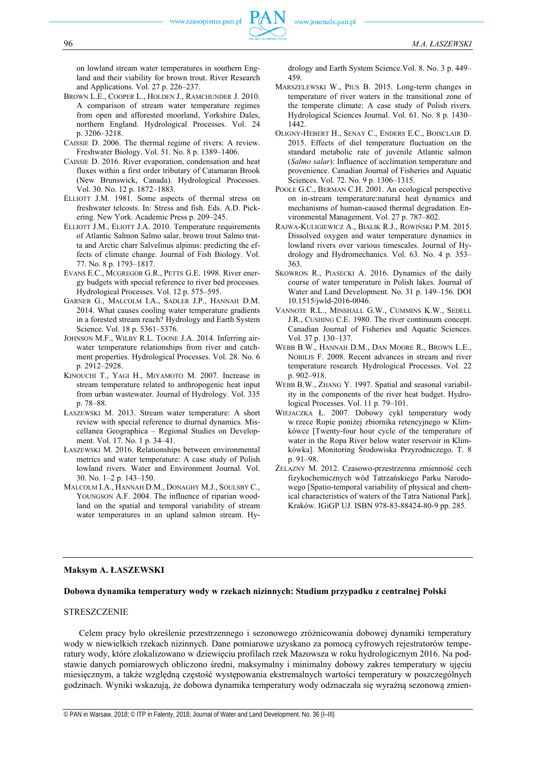on lowland stream water temperatures in southern England and their viability for brown trout. River Research and Applications. Vol. 27 p. 226–237.

- BROWN L.E., COOPER L., HOLDEN J., RAMCHUNDER J. 2010. A comparison of stream water temperature regimes from open and afforested moorland, Yorkshire Dales, northern England. Hydrological Processes. Vol. 24 p. 3206–3218.
- CAISSIE D. 2006. The thermal regime of rivers: A review. Freshwater Biology. Vol. 51. No. 8 p. 1389–1406.
- CAISSIE D. 2016. River evaporation, condensation and heat fluxes within a first order tributary of Catamaran Brook (New Brunswick, Canada). Hydrological Processes. Vol. 30. No. 12 p. 1872–1883.
- ELLIOTT J.M. 1981. Some aspects of thermal stress on freshwater teleosts. In: Stress and fish. Eds. A.D. Pickering. New York. Academic Press p. 209–245.
- ELLIOTT J.M., ELIOTT J.A. 2010. Temperature requirements of Atlantic Salmon Salmo salar, brown trout Salmo trutta and Arctic charr Salvelinus alpinus: predicting the effects of climate change. Journal of Fish Biology. Vol. 77. No. 8 p. 1793–1817.
- EVANS E.C., MCGREGOR G.R., PETTS G.E. 1998. River energy budgets with special reference to river bed processes*.* Hydrological Processes. Vol. 12 p. 575–595.
- GARNER G., MALCOLM I.A., SADLER J.P., HANNAH D.M. 2014. What causes cooling water temperature gradients in a forested stream reach? Hydrology and Earth System Science. Vol. 18 p. 5361–5376.
- JOHNSON M.F., WILBY R.L. TOONE J.A. 2014. Inferring airwater temperature relationships from river and catchment properties. Hydrological Processes. Vol. 28. No. 6 p. 2912–2928.
- KINOUCHI T., YAGI H., MIYAMOTO M. 2007. Increase in stream temperature related to anthropogenic heat input from urban wastewater. Journal of Hydrology. Vol. 335 p. 78–88.
- ŁASZEWSKI M. 2013. Stream water temperature: A short review with special reference to diurnal dynamics. Miscellanea Geographica – Regional Studies on Development. Vol. 17. No. 1 p. 34–41.
- ŁASZEWSKI M. 2016. Relationships between environmental metrics and water temperature: A case study of Polish lowland rivers. Water and Environment Journal. Vol. 30. No. 1–2 p. 143–150.
- MALCOLM I.A., HANNAH D.M., DONAGHY M.J., SOULSBY C., YOUNGSON A.F. 2004. The influence of riparian woodland on the spatial and temporal variability of stream water temperatures in an upland salmon stream. Hy-

drology and Earth System Science.Vol. 8. No. 3 p. 449– 459.

- MARSZELEWSKI W., PIUS B. 2015. Long-term changes in temperature of river waters in the transitional zone of the temperate climate: A case study of Polish rivers. Hydrological Sciences Journal. Vol. 61. No. 8 p. 1430– 1442.
- OLIGNY-HEBERT H., SENAY C., ENDERS E.C., BOISCLAIR D. 2015. Effects of diel temperature fluctuation on the standard metabolic rate of juvenile Atlantic salmon (*Salmo salar*): Influence of acclimation temperature and provenience. Canadian Journal of Fisheries and Aquatic Sciences. Vol. 72. No. 9 p. 1306–1315.
- POOLE G.C., BERMAN C.H. 2001. An ecological perspective on in-stream temperature:natural heat dynamics and mechanisms of human-caused thermal degradation. Environmental Management. Vol. 27 p. 787–802.
- RAJWA-KULIGIEWICZ A., BIALIK R.J., ROWIŃSKI P.M. 2015. Dissolved oxygen and water temperature dynamics in lowland rivers over various timescales. Journal of Hydrology and Hydromechanics. Vol. 63. No. 4 p. 353– 363.
- SKOWRON R., PIASECKI A. 2016. Dynamics of the daily course of water temperature in Polish lakes. Journal of Water and Land Development. No. 31 p. 149–156. DOI 10.1515/jwld-2016-0046.
- VANNOTE R.L., MINSHALL G.W., CUMMINS K.W., SEDELL J.R., CUSHING C.E. 1980. The river continuum concept. Canadian Journal of Fisheries and Aquatic Sciences. Vol. 37 p. 130–137.
- WEBB B.W., HANNAH D.M., DAN MOORE R., BROWN L.E., NOBILIS F. 2008. Recent advances in stream and river temperature research*.* Hydrological Processes. Vol. 22 p. 902–918.
- WEBB B.W., ZHANG Y. 1997. Spatial and seasonal variability in the components of the river heat budget. Hydrological Processes. Vol. 11 p. 79–101.
- WIEJACZKA Ł. 2007. Dobowy cykl temperatury wody w rzece Ropie poniżej zbiornika retencyjnego w Klimkówce [Twenty-four hour cycle of the temperature of water in the Ropa River below water reservoir in Klimkówka]. Monitoring Środowiska Przyrodniczego. T. 8 p. 91–98.
- ŻELAZNY M. 2012. Czasowo-przestrzenna zmienność cech fizykochemicznych wód Tatrzańskiego Parku Narodowego [Spatio-temporal variability of physical and chemical characteristics of waters of the Tatra National Park]. Kraków. IGiGP UJ. ISBN 978-83-88424-80-9 pp. 285.

# **Maksym A. ŁASZEWSKI**

# **Dobowa dynamika temperatury wody w rzekach nizinnych: Studium przypadku z centralnej Polski**

#### STRESZCZENIE

Celem pracy było określenie przestrzennego i sezonowego zróżnicowania dobowej dynamiki temperatury wody w niewielkich rzekach nizinnych. Dane pomiarowe uzyskano za pomocą cyfrowych rejestratorów temperatury wody, które zlokalizowano w dziewięciu profilach rzek Mazowsza w roku hydrologicznym 2016. Na podstawie danych pomiarowych obliczono średni, maksymalny i minimalny dobowy zakres temperatury w ujęciu miesięcznym, a także względną częstość występowania ekstremalnych wartości temperatury w poszczególnych godzinach. Wyniki wskazują, że dobowa dynamika temperatury wody odznaczała się wyraźną sezonową zmien-